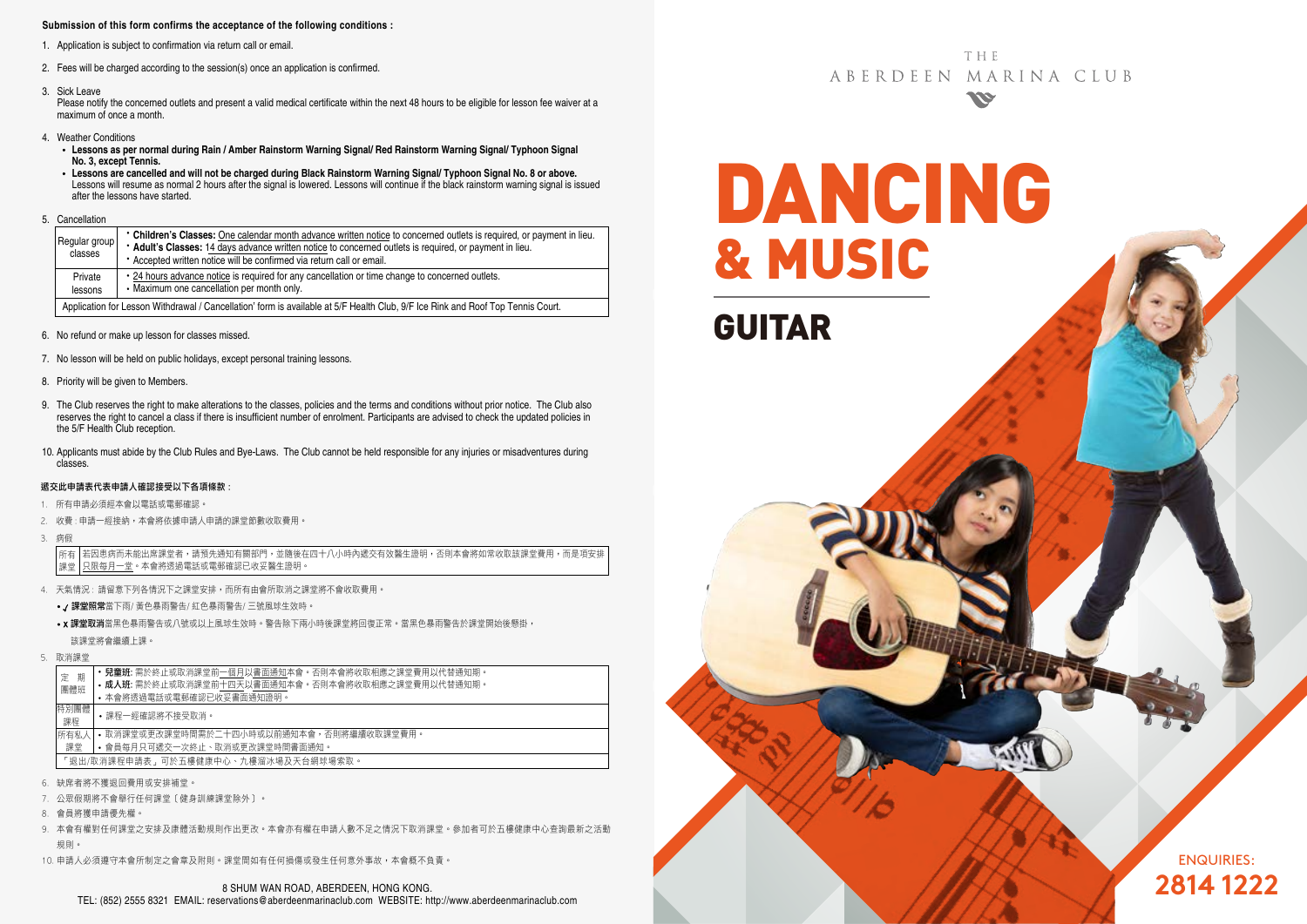### **Submission of this form confirms the acceptance of the following conditions :**

- 1. Application is subject to confirmation via return call or email.
- 2. Fees will be charged according to the session(s) once an application is confirmed.
- 3. Sick Leave

Please notify the concerned outlets and present a valid medical certificate within the next 48 hours to be eligible for lesson fee waiver at a maximum of once a month.

- 4. Weather Conditions
	- **Lessons as per normal during Rain / Amber Rainstorm Warning Signal/ Red Rainstorm Warning Signal/ Typhoon Signal No. 3, except Tennis.**
	- **Lessons are cancelled and will not be charged during Black Rainstorm Warning Signal/ Typhoon Signal No. 8 or above.** Lessons will resume as normal 2 hours after the signal is lowered. Lessons will continue if the black rainstorm warning signal is issued after the lessons have started.
- 5. Cancellation

|  | Regular group<br>classes                                                                                                        | • Children's Classes: One calendar month advance written notice to concerned outlets is required, or payment in lieu.<br>* Adult's Classes: 14 days advance written notice to concerned outlets is required, or payment in lieu.<br>• Accepted written notice will be confirmed via return call or email. |  |  |  |  |  |
|--|---------------------------------------------------------------------------------------------------------------------------------|-----------------------------------------------------------------------------------------------------------------------------------------------------------------------------------------------------------------------------------------------------------------------------------------------------------|--|--|--|--|--|
|  | Private<br>lessons                                                                                                              | • 24 hours advance notice is required for any cancellation or time change to concerned outlets.<br>• Maximum one cancellation per month only.                                                                                                                                                             |  |  |  |  |  |
|  | Application for Lesson Withdrawal / Cancellation' form is available at 5/F Health Club, 9/F Ice Rink and Roof Top Tennis Court. |                                                                                                                                                                                                                                                                                                           |  |  |  |  |  |

- 6. No refund or make up lesson for classes missed.
- 7. No lesson will be held on public holidays, except personal training lessons.
- 8. Priority will be given to Members.
- 9. The Club reserves the right to make alterations to the classes, policies and the terms and conditions without prior notice. The Club also reserves the right to cancel a class if there is insufficient number of enrolment. Participants are advised to check the updated policies in the 5/F Health Club reception.
- 10. Applicants must abide by the Club Rules and Bye-Laws. The Club cannot be held responsible for any injuries or misadventures during classes.

#### 遞交此申請表代表申請人確認接受以下各項條款 :

- 1. 所有申請必須經本會以電話或電郵確認。
- 2. 收費 : 申請一經接納,本會將依據申請人申請的課堂節數收取費用。
- 3. 病假

若因患病而未能出席課堂者,請預先通知有關部門,並隨後在四十八小時內遞交有效醫生證明,否則本會將如常收取該課堂費用,而是項安排 只限每月一堂。本會將透過電話或電郵確認已收妥醫生證明。 所有 課堂

- 4. 天氣情況 : 請留意下列各情況下之課堂安排,而所有由會所取消之課堂將不會收取費用。
	- / 課堂照常當下雨/ 黃色暴雨警告/ 紅色暴雨警告/ 三號風球生效時。
	- x 課堂取消當黑色暴雨警告或八號或以上風球生效時。警告除下兩小時後課堂將回復正常。當黑色暴雨警告於課堂開始後懸掛, 該課堂將會繼續上課。
- 5. 取消課堂

| 期<br>定                              | 兒童班:需於終止或取消課堂前一個月以書面通知本會。否則本會將收取相應之課堂費用以代替通知期。    |  |  |  |  |  |  |
|-------------------------------------|---------------------------------------------------|--|--|--|--|--|--|
| 團體班                                 | • 成人班: 需於終止或取消課堂前十四天以書面通知本會。否則本會將收取相應之課堂費用以代替通知期。 |  |  |  |  |  |  |
|                                     | • 本會將透過電話或電郵確認已收妥書面通知證明。                          |  |  |  |  |  |  |
| 特別團體                                | •課程一經確認將不接受取消。                                    |  |  |  |  |  |  |
| 課程                                  |                                                   |  |  |  |  |  |  |
| 所有私人                                | • 取消課堂或更改課堂時間需於二十四小時或以前捅知本會,否則將繼續收取課堂費用。          |  |  |  |  |  |  |
| 課堂                                  | • 會員每月只可遞交一次終止、取消或更改課堂時間書面通知。                     |  |  |  |  |  |  |
| 「退出/取消課程申請表」可於五樓健康中心、九樓溜冰場及天台網球場索取。 |                                                   |  |  |  |  |  |  |
| 灿庶老收不獲退同费用或实排诸党。                    |                                                   |  |  |  |  |  |  |

- 缺席者將不獲狠回費用或安排補堂
- 7. 公眾假期將不會舉行任何課堂﹝健身訓練課堂除外﹞。
- 8. 會員將獲申請優先權。
- 9. 本會有權對任何課堂之安排及康體活動規則作出更改。本會亦有權在申請人數不足之情況下取消課堂。參加者可於五樓健康中心查詢最新之活動 規則。
- 10. 申請人必須遵守本會所制定之會章及附則。課堂間如有任何損傷或發生任何意外事故,本會概不負責。

**THF** ABERDEEN MARINA CLUB **SSE** 

DANCING & MUSIC GUITAR

> ENQUIRIES: **2814 1222**